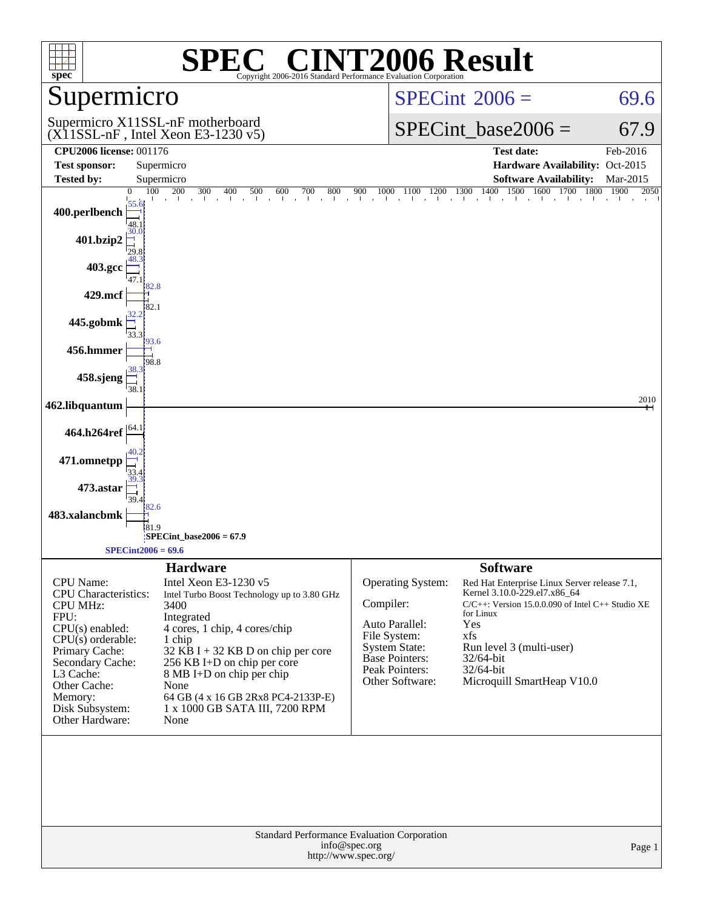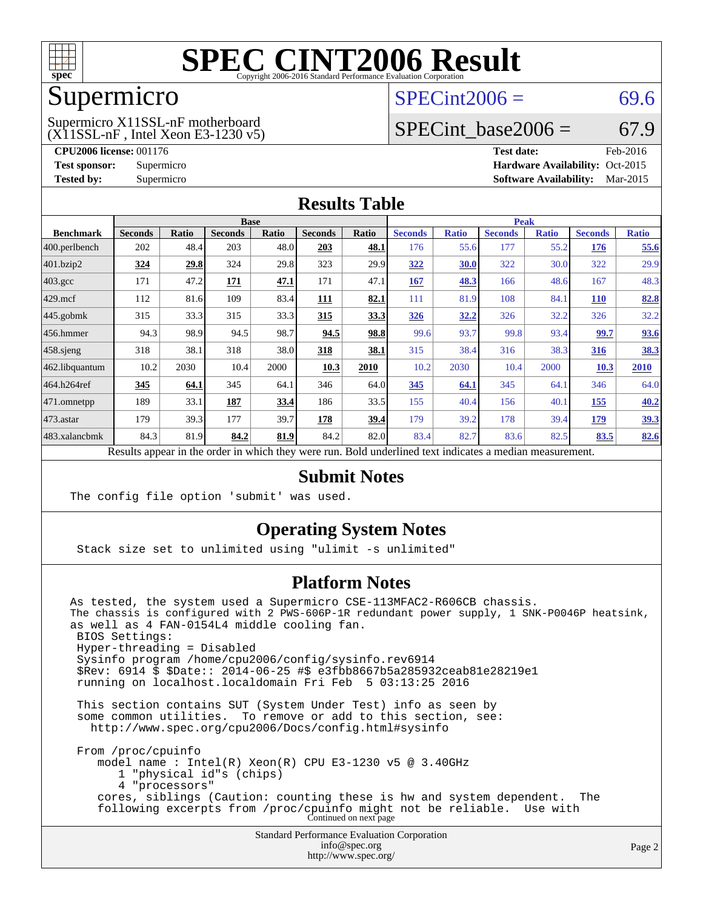

### Supermicro

#### (X11SSL-nF , Intel Xeon E3-1230 v5) Supermicro X11SSL-nF motherboard

 $SPECint2006 = 69.6$  $SPECint2006 = 69.6$ 

### SPECint base2006 =  $67.9$

**[CPU2006 license:](http://www.spec.org/auto/cpu2006/Docs/result-fields.html#CPU2006license)** 001176 **[Test date:](http://www.spec.org/auto/cpu2006/Docs/result-fields.html#Testdate)** Feb-2016 **[Test sponsor:](http://www.spec.org/auto/cpu2006/Docs/result-fields.html#Testsponsor)** Supermicro Supermicro **[Hardware Availability:](http://www.spec.org/auto/cpu2006/Docs/result-fields.html#HardwareAvailability)** Oct-2015 **[Tested by:](http://www.spec.org/auto/cpu2006/Docs/result-fields.html#Testedby)** Supermicro **Supermicro [Software Availability:](http://www.spec.org/auto/cpu2006/Docs/result-fields.html#SoftwareAvailability)** Mar-2015

#### **[Results Table](http://www.spec.org/auto/cpu2006/Docs/result-fields.html#ResultsTable)**

|                    | <b>Base</b>    |              |                |              |                |              |                | <b>Peak</b>  |                |              |                |              |
|--------------------|----------------|--------------|----------------|--------------|----------------|--------------|----------------|--------------|----------------|--------------|----------------|--------------|
| <b>Benchmark</b>   | <b>Seconds</b> | <b>Ratio</b> | <b>Seconds</b> | <b>Ratio</b> | <b>Seconds</b> | <b>Ratio</b> | <b>Seconds</b> | <b>Ratio</b> | <b>Seconds</b> | <b>Ratio</b> | <b>Seconds</b> | <b>Ratio</b> |
| 400.perlbench      | 202            | 48.4         | 203            | 48.0         | 203            | 48.1         | 176            | 55.6         | 177            | 55.2         | 176            | 55.6         |
| 401.bzip2          | 324            | 29.8         | 324            | 29.8         | 323            | 29.9         | 322            | 30.0         | 322            | 30.0         | 322            | 29.9         |
| $403.\mathrm{gcc}$ | 171            | 47.2         | 171            | 47.1         | 171            | 47.1         | 167            | 48.3         | 166            | 48.6         | 167            | 48.3         |
| $429$ .mcf         | 112            | 81.6         | 109            | 83.4         | 111            | 82.1         | 111            | 81.9         | 108            | 84.1         | <b>110</b>     | 82.8         |
| $445$ .gobmk       | 315            | 33.3         | 315            | 33.3         | 315            | 33.3         | 326            | 32.2         | 326            | 32.2         | 326            | 32.2         |
| $ 456$ .hmmer      | 94.3           | 98.9         | 94.5           | 98.7         | 94.5           | 98.8         | 99.6           | 93.7         | 99.8           | 93.4         | 99.7           | 93.6         |
| $458$ .sjeng       | 318            | 38.1         | 318            | 38.0         | 318            | 38.1         | 315            | 38.4         | 316            | 38.3         | 316            | <u>38.3</u>  |
| 462.libquantum     | 10.2           | 2030         | 10.4           | 2000         | 10.3           | 2010         | 10.2           | 2030         | 10.4           | 2000         | 10.3           | 2010         |
| 464.h264ref        | 345            | 64.1         | 345            | 64.1         | 346            | 64.0         | 345            | 64.1         | 345            | 64.1         | 346            | 64.0         |
| $ 471$ .omnetpp    | 189            | 33.1         | 187            | 33.4         | 186            | 33.5         | 155            | 40.4         | 156            | 40.1         | 155            | 40.2         |
| $473$ . astar      | 179            | 39.3         | 177            | 39.7         | 178            | 39.4         | 179            | 39.2         | 178            | 39.4         | <u>179</u>     | <u>39.3</u>  |
| 483.xalancbmk      | 84.3           | 81.9         | 84.2           | 81.9         | 84.2           | 82.0         | 83.4           | 82.7         | 83.6           | 82.5         | 83.5           | 82.6         |
| n.                 | $\mathbf{1}$ . |              |                |              |                |              | $\blacksquare$ | $\cdot$      | $\cdot$        |              |                |              |

Results appear in the [order in which they were run.](http://www.spec.org/auto/cpu2006/Docs/result-fields.html#RunOrder) Bold underlined text [indicates a median measurement.](http://www.spec.org/auto/cpu2006/Docs/result-fields.html#Median)

### **[Submit Notes](http://www.spec.org/auto/cpu2006/Docs/result-fields.html#SubmitNotes)**

The config file option 'submit' was used.

### **[Operating System Notes](http://www.spec.org/auto/cpu2006/Docs/result-fields.html#OperatingSystemNotes)**

Stack size set to unlimited using "ulimit -s unlimited"

### **[Platform Notes](http://www.spec.org/auto/cpu2006/Docs/result-fields.html#PlatformNotes)**

Standard Performance Evaluation Corporation [info@spec.org](mailto:info@spec.org) As tested, the system used a Supermicro CSE-113MFAC2-R606CB chassis. The chassis is configured with 2 PWS-606P-1R redundant power supply, 1 SNK-P0046P heatsink, as well as 4 FAN-0154L4 middle cooling fan. BIOS Settings: Hyper-threading = Disabled Sysinfo program /home/cpu2006/config/sysinfo.rev6914 \$Rev: 6914 \$ \$Date:: 2014-06-25 #\$ e3fbb8667b5a285932ceab81e28219e1 running on localhost.localdomain Fri Feb 5 03:13:25 2016 This section contains SUT (System Under Test) info as seen by some common utilities. To remove or add to this section, see: <http://www.spec.org/cpu2006/Docs/config.html#sysinfo> From /proc/cpuinfo model name : Intel(R) Xeon(R) CPU E3-1230 v5 @ 3.40GHz 1 "physical id"s (chips) 4 "processors" cores, siblings (Caution: counting these is hw and system dependent. The following excerpts from /proc/cpuinfo might not be reliable. Use with Continued on next page

<http://www.spec.org/>

Page 2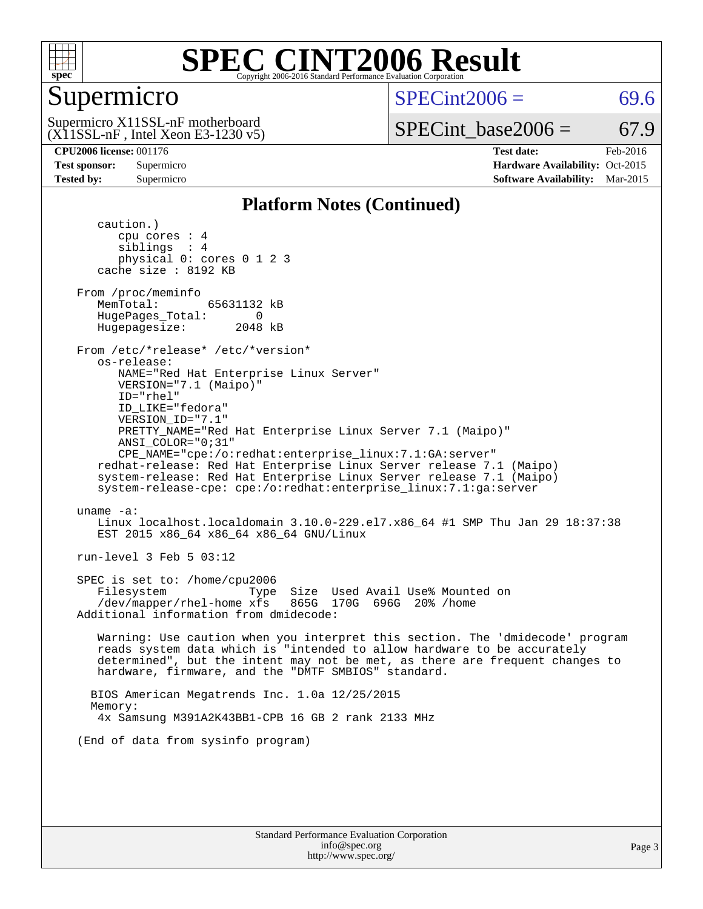

### Supermicro

 $SPECint2006 = 69.6$  $SPECint2006 = 69.6$ 

(X11SSL-nF , Intel Xeon E3-1230 v5) Supermicro X11SSL-nF motherboard

SPECint base2006 =  $67.9$ 

**[CPU2006 license:](http://www.spec.org/auto/cpu2006/Docs/result-fields.html#CPU2006license)** 001176 **[Test date:](http://www.spec.org/auto/cpu2006/Docs/result-fields.html#Testdate)** Feb-2016 **[Test sponsor:](http://www.spec.org/auto/cpu2006/Docs/result-fields.html#Testsponsor)** Supermicro Supermicro **[Hardware Availability:](http://www.spec.org/auto/cpu2006/Docs/result-fields.html#HardwareAvailability)** Oct-2015

**[Platform Notes \(Continued\)](http://www.spec.org/auto/cpu2006/Docs/result-fields.html#PlatformNotes)**

**[Tested by:](http://www.spec.org/auto/cpu2006/Docs/result-fields.html#Testedby)** Supermicro **Supermicro [Software Availability:](http://www.spec.org/auto/cpu2006/Docs/result-fields.html#SoftwareAvailability)** Mar-2015

 caution.) cpu cores : 4 siblings : 4 physical 0: cores 0 1 2 3 cache size : 8192 KB From /proc/meminfo MemTotal: 65631132 kB HugePages\_Total: 0<br>Hugepagesize: 2048 kB Hugepagesize: From /etc/\*release\* /etc/\*version\* os-release: NAME="Red Hat Enterprise Linux Server" VERSION="7.1 (Maipo)" ID="rhel" ID\_LIKE="fedora" VERSION\_ID="7.1" PRETTY\_NAME="Red Hat Enterprise Linux Server 7.1 (Maipo)" ANSI\_COLOR="0;31" CPE\_NAME="cpe:/o:redhat:enterprise\_linux:7.1:GA:server" redhat-release: Red Hat Enterprise Linux Server release 7.1 (Maipo) system-release: Red Hat Enterprise Linux Server release 7.1 (Maipo) system-release-cpe: cpe:/o:redhat:enterprise\_linux:7.1:ga:server uname -a: Linux localhost.localdomain 3.10.0-229.el7.x86\_64 #1 SMP Thu Jan 29 18:37:38 EST 2015 x86\_64 x86\_64 x86\_64 GNU/Linux run-level 3 Feb 5 03:12 SPEC is set to: /home/cpu2006 Filesystem Type Size Used Avail Use% Mounted on<br>
/dev/mapper/rhel-home xfs 865G 170G 696G 20% /home  $/$ dev/mapper/rhel-home xfs Additional information from dmidecode: Warning: Use caution when you interpret this section. The 'dmidecode' program reads system data which is "intended to allow hardware to be accurately determined", but the intent may not be met, as there are frequent changes to hardware, firmware, and the "DMTF SMBIOS" standard. BIOS American Megatrends Inc. 1.0a 12/25/2015 Memory: 4x Samsung M391A2K43BB1-CPB 16 GB 2 rank 2133 MHz (End of data from sysinfo program)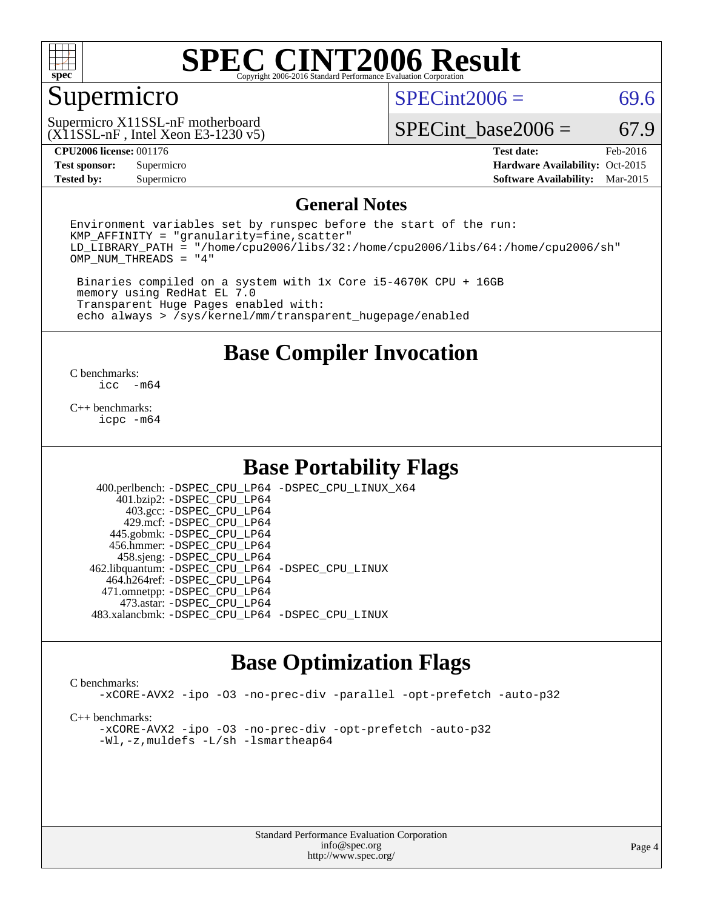

### Supermicro

 $SPECint2006 = 69.6$  $SPECint2006 = 69.6$ 

(X11SSL-nF , Intel Xeon E3-1230 v5) Supermicro X11SSL-nF motherboard

SPECint base2006 =  $67.9$ 

**[CPU2006 license:](http://www.spec.org/auto/cpu2006/Docs/result-fields.html#CPU2006license)** 001176 **[Test date:](http://www.spec.org/auto/cpu2006/Docs/result-fields.html#Testdate)** Feb-2016 **[Test sponsor:](http://www.spec.org/auto/cpu2006/Docs/result-fields.html#Testsponsor)** Supermicro Supermicro **[Hardware Availability:](http://www.spec.org/auto/cpu2006/Docs/result-fields.html#HardwareAvailability)** Oct-2015 **[Tested by:](http://www.spec.org/auto/cpu2006/Docs/result-fields.html#Testedby)** Supermicro **Supermicro [Software Availability:](http://www.spec.org/auto/cpu2006/Docs/result-fields.html#SoftwareAvailability)** Mar-2015

#### **[General Notes](http://www.spec.org/auto/cpu2006/Docs/result-fields.html#GeneralNotes)**

Environment variables set by runspec before the start of the run:  $KMP$  AFFINITY = "granularity=fine, scatter" LD\_LIBRARY\_PATH = "/home/cpu2006/libs/32:/home/cpu2006/libs/64:/home/cpu2006/sh" OMP\_NUM\_THREADS = "4"

 Binaries compiled on a system with 1x Core i5-4670K CPU + 16GB memory using RedHat EL 7.0 Transparent Huge Pages enabled with: echo always > /sys/kernel/mm/transparent\_hugepage/enabled

**[Base Compiler Invocation](http://www.spec.org/auto/cpu2006/Docs/result-fields.html#BaseCompilerInvocation)**

 $\frac{C \text{ benchmarks:}}{C \text{ C}}$ -m64

[C++ benchmarks:](http://www.spec.org/auto/cpu2006/Docs/result-fields.html#CXXbenchmarks) [icpc -m64](http://www.spec.org/cpu2006/results/res2016q1/cpu2006-20160222-39043.flags.html#user_CXXbase_intel_icpc_64bit_fc66a5337ce925472a5c54ad6a0de310)

### **[Base Portability Flags](http://www.spec.org/auto/cpu2006/Docs/result-fields.html#BasePortabilityFlags)**

 400.perlbench: [-DSPEC\\_CPU\\_LP64](http://www.spec.org/cpu2006/results/res2016q1/cpu2006-20160222-39043.flags.html#b400.perlbench_basePORTABILITY_DSPEC_CPU_LP64) [-DSPEC\\_CPU\\_LINUX\\_X64](http://www.spec.org/cpu2006/results/res2016q1/cpu2006-20160222-39043.flags.html#b400.perlbench_baseCPORTABILITY_DSPEC_CPU_LINUX_X64) 401.bzip2: [-DSPEC\\_CPU\\_LP64](http://www.spec.org/cpu2006/results/res2016q1/cpu2006-20160222-39043.flags.html#suite_basePORTABILITY401_bzip2_DSPEC_CPU_LP64) 403.gcc: [-DSPEC\\_CPU\\_LP64](http://www.spec.org/cpu2006/results/res2016q1/cpu2006-20160222-39043.flags.html#suite_basePORTABILITY403_gcc_DSPEC_CPU_LP64) 429.mcf: [-DSPEC\\_CPU\\_LP64](http://www.spec.org/cpu2006/results/res2016q1/cpu2006-20160222-39043.flags.html#suite_basePORTABILITY429_mcf_DSPEC_CPU_LP64) 445.gobmk: [-DSPEC\\_CPU\\_LP64](http://www.spec.org/cpu2006/results/res2016q1/cpu2006-20160222-39043.flags.html#suite_basePORTABILITY445_gobmk_DSPEC_CPU_LP64) 456.hmmer: [-DSPEC\\_CPU\\_LP64](http://www.spec.org/cpu2006/results/res2016q1/cpu2006-20160222-39043.flags.html#suite_basePORTABILITY456_hmmer_DSPEC_CPU_LP64) 458.sjeng: [-DSPEC\\_CPU\\_LP64](http://www.spec.org/cpu2006/results/res2016q1/cpu2006-20160222-39043.flags.html#suite_basePORTABILITY458_sjeng_DSPEC_CPU_LP64) 462.libquantum: [-DSPEC\\_CPU\\_LP64](http://www.spec.org/cpu2006/results/res2016q1/cpu2006-20160222-39043.flags.html#suite_basePORTABILITY462_libquantum_DSPEC_CPU_LP64) [-DSPEC\\_CPU\\_LINUX](http://www.spec.org/cpu2006/results/res2016q1/cpu2006-20160222-39043.flags.html#b462.libquantum_baseCPORTABILITY_DSPEC_CPU_LINUX) 464.h264ref: [-DSPEC\\_CPU\\_LP64](http://www.spec.org/cpu2006/results/res2016q1/cpu2006-20160222-39043.flags.html#suite_basePORTABILITY464_h264ref_DSPEC_CPU_LP64) 471.omnetpp: [-DSPEC\\_CPU\\_LP64](http://www.spec.org/cpu2006/results/res2016q1/cpu2006-20160222-39043.flags.html#suite_basePORTABILITY471_omnetpp_DSPEC_CPU_LP64) 473.astar: [-DSPEC\\_CPU\\_LP64](http://www.spec.org/cpu2006/results/res2016q1/cpu2006-20160222-39043.flags.html#suite_basePORTABILITY473_astar_DSPEC_CPU_LP64) 483.xalancbmk: [-DSPEC\\_CPU\\_LP64](http://www.spec.org/cpu2006/results/res2016q1/cpu2006-20160222-39043.flags.html#suite_basePORTABILITY483_xalancbmk_DSPEC_CPU_LP64) [-DSPEC\\_CPU\\_LINUX](http://www.spec.org/cpu2006/results/res2016q1/cpu2006-20160222-39043.flags.html#b483.xalancbmk_baseCXXPORTABILITY_DSPEC_CPU_LINUX)

### **[Base Optimization Flags](http://www.spec.org/auto/cpu2006/Docs/result-fields.html#BaseOptimizationFlags)**

[C benchmarks](http://www.spec.org/auto/cpu2006/Docs/result-fields.html#Cbenchmarks):

[-xCORE-AVX2](http://www.spec.org/cpu2006/results/res2016q1/cpu2006-20160222-39043.flags.html#user_CCbase_f-xAVX2_5f5fc0cbe2c9f62c816d3e45806c70d7) [-ipo](http://www.spec.org/cpu2006/results/res2016q1/cpu2006-20160222-39043.flags.html#user_CCbase_f-ipo) [-O3](http://www.spec.org/cpu2006/results/res2016q1/cpu2006-20160222-39043.flags.html#user_CCbase_f-O3) [-no-prec-div](http://www.spec.org/cpu2006/results/res2016q1/cpu2006-20160222-39043.flags.html#user_CCbase_f-no-prec-div) [-parallel](http://www.spec.org/cpu2006/results/res2016q1/cpu2006-20160222-39043.flags.html#user_CCbase_f-parallel) [-opt-prefetch](http://www.spec.org/cpu2006/results/res2016q1/cpu2006-20160222-39043.flags.html#user_CCbase_f-opt-prefetch) [-auto-p32](http://www.spec.org/cpu2006/results/res2016q1/cpu2006-20160222-39043.flags.html#user_CCbase_f-auto-p32)

[C++ benchmarks:](http://www.spec.org/auto/cpu2006/Docs/result-fields.html#CXXbenchmarks)

[-xCORE-AVX2](http://www.spec.org/cpu2006/results/res2016q1/cpu2006-20160222-39043.flags.html#user_CXXbase_f-xAVX2_5f5fc0cbe2c9f62c816d3e45806c70d7) [-ipo](http://www.spec.org/cpu2006/results/res2016q1/cpu2006-20160222-39043.flags.html#user_CXXbase_f-ipo) [-O3](http://www.spec.org/cpu2006/results/res2016q1/cpu2006-20160222-39043.flags.html#user_CXXbase_f-O3) [-no-prec-div](http://www.spec.org/cpu2006/results/res2016q1/cpu2006-20160222-39043.flags.html#user_CXXbase_f-no-prec-div) [-opt-prefetch](http://www.spec.org/cpu2006/results/res2016q1/cpu2006-20160222-39043.flags.html#user_CXXbase_f-opt-prefetch) [-auto-p32](http://www.spec.org/cpu2006/results/res2016q1/cpu2006-20160222-39043.flags.html#user_CXXbase_f-auto-p32) [-Wl,-z,muldefs](http://www.spec.org/cpu2006/results/res2016q1/cpu2006-20160222-39043.flags.html#user_CXXbase_link_force_multiple1_74079c344b956b9658436fd1b6dd3a8a) [-L/sh -lsmartheap64](http://www.spec.org/cpu2006/results/res2016q1/cpu2006-20160222-39043.flags.html#user_CXXbase_SmartHeap64_ed4ef857ce90951921efb0d91eb88472)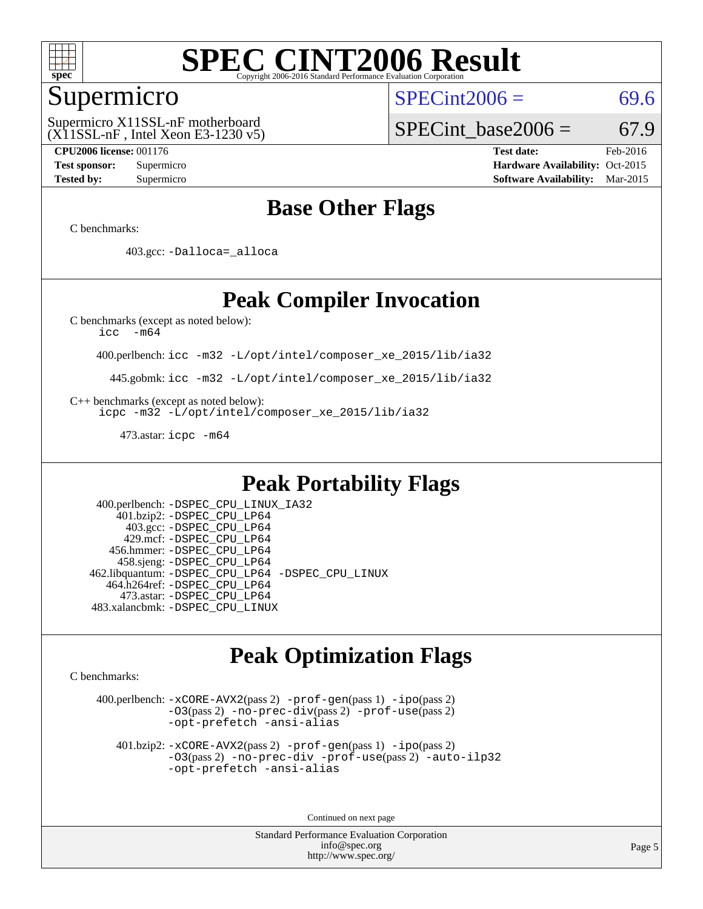

### Supermicro

(X11SSL-nF , Intel Xeon E3-1230 v5) Supermicro X11SSL-nF motherboard

 $SPECint2006 = 69.6$  $SPECint2006 = 69.6$ 

SPECint base2006 =  $67.9$ 

**[CPU2006 license:](http://www.spec.org/auto/cpu2006/Docs/result-fields.html#CPU2006license)** 001176 **[Test date:](http://www.spec.org/auto/cpu2006/Docs/result-fields.html#Testdate)** Feb-2016 **[Test sponsor:](http://www.spec.org/auto/cpu2006/Docs/result-fields.html#Testsponsor)** Supermicro Supermicro **[Hardware Availability:](http://www.spec.org/auto/cpu2006/Docs/result-fields.html#HardwareAvailability)** Oct-2015 **[Tested by:](http://www.spec.org/auto/cpu2006/Docs/result-fields.html#Testedby)** Supermicro **Supermicro [Software Availability:](http://www.spec.org/auto/cpu2006/Docs/result-fields.html#SoftwareAvailability)** Mar-2015

### **[Base Other Flags](http://www.spec.org/auto/cpu2006/Docs/result-fields.html#BaseOtherFlags)**

[C benchmarks](http://www.spec.org/auto/cpu2006/Docs/result-fields.html#Cbenchmarks):

403.gcc: [-Dalloca=\\_alloca](http://www.spec.org/cpu2006/results/res2016q1/cpu2006-20160222-39043.flags.html#b403.gcc_baseEXTRA_CFLAGS_Dalloca_be3056838c12de2578596ca5467af7f3)

### **[Peak Compiler Invocation](http://www.spec.org/auto/cpu2006/Docs/result-fields.html#PeakCompilerInvocation)**

[C benchmarks \(except as noted below\)](http://www.spec.org/auto/cpu2006/Docs/result-fields.html#Cbenchmarksexceptasnotedbelow):

[icc -m64](http://www.spec.org/cpu2006/results/res2016q1/cpu2006-20160222-39043.flags.html#user_CCpeak_intel_icc_64bit_f346026e86af2a669e726fe758c88044)

400.perlbench: [icc -m32 -L/opt/intel/composer\\_xe\\_2015/lib/ia32](http://www.spec.org/cpu2006/results/res2016q1/cpu2006-20160222-39043.flags.html#user_peakCCLD400_perlbench_intel_icc_011b86df29f8c679b747245588698a4d)

445.gobmk: [icc -m32 -L/opt/intel/composer\\_xe\\_2015/lib/ia32](http://www.spec.org/cpu2006/results/res2016q1/cpu2006-20160222-39043.flags.html#user_peakCCLD445_gobmk_intel_icc_011b86df29f8c679b747245588698a4d)

[C++ benchmarks \(except as noted below\):](http://www.spec.org/auto/cpu2006/Docs/result-fields.html#CXXbenchmarksexceptasnotedbelow)

[icpc -m32 -L/opt/intel/composer\\_xe\\_2015/lib/ia32](http://www.spec.org/cpu2006/results/res2016q1/cpu2006-20160222-39043.flags.html#user_CXXpeak_intel_icpc_c2c99686a1a582c3e0de0b4806b02cea)

473.astar: [icpc -m64](http://www.spec.org/cpu2006/results/res2016q1/cpu2006-20160222-39043.flags.html#user_peakCXXLD473_astar_intel_icpc_64bit_fc66a5337ce925472a5c54ad6a0de310)

### **[Peak Portability Flags](http://www.spec.org/auto/cpu2006/Docs/result-fields.html#PeakPortabilityFlags)**

 400.perlbench: [-DSPEC\\_CPU\\_LINUX\\_IA32](http://www.spec.org/cpu2006/results/res2016q1/cpu2006-20160222-39043.flags.html#b400.perlbench_peakCPORTABILITY_DSPEC_CPU_LINUX_IA32) 401.bzip2: [-DSPEC\\_CPU\\_LP64](http://www.spec.org/cpu2006/results/res2016q1/cpu2006-20160222-39043.flags.html#suite_peakPORTABILITY401_bzip2_DSPEC_CPU_LP64) 403.gcc: [-DSPEC\\_CPU\\_LP64](http://www.spec.org/cpu2006/results/res2016q1/cpu2006-20160222-39043.flags.html#suite_peakPORTABILITY403_gcc_DSPEC_CPU_LP64) 429.mcf: [-DSPEC\\_CPU\\_LP64](http://www.spec.org/cpu2006/results/res2016q1/cpu2006-20160222-39043.flags.html#suite_peakPORTABILITY429_mcf_DSPEC_CPU_LP64) 456.hmmer: [-DSPEC\\_CPU\\_LP64](http://www.spec.org/cpu2006/results/res2016q1/cpu2006-20160222-39043.flags.html#suite_peakPORTABILITY456_hmmer_DSPEC_CPU_LP64) 458.sjeng: [-DSPEC\\_CPU\\_LP64](http://www.spec.org/cpu2006/results/res2016q1/cpu2006-20160222-39043.flags.html#suite_peakPORTABILITY458_sjeng_DSPEC_CPU_LP64) 462.libquantum: [-DSPEC\\_CPU\\_LP64](http://www.spec.org/cpu2006/results/res2016q1/cpu2006-20160222-39043.flags.html#suite_peakPORTABILITY462_libquantum_DSPEC_CPU_LP64) [-DSPEC\\_CPU\\_LINUX](http://www.spec.org/cpu2006/results/res2016q1/cpu2006-20160222-39043.flags.html#b462.libquantum_peakCPORTABILITY_DSPEC_CPU_LINUX) 464.h264ref: [-DSPEC\\_CPU\\_LP64](http://www.spec.org/cpu2006/results/res2016q1/cpu2006-20160222-39043.flags.html#suite_peakPORTABILITY464_h264ref_DSPEC_CPU_LP64) 473.astar: [-DSPEC\\_CPU\\_LP64](http://www.spec.org/cpu2006/results/res2016q1/cpu2006-20160222-39043.flags.html#suite_peakPORTABILITY473_astar_DSPEC_CPU_LP64) 483.xalancbmk: [-DSPEC\\_CPU\\_LINUX](http://www.spec.org/cpu2006/results/res2016q1/cpu2006-20160222-39043.flags.html#b483.xalancbmk_peakCXXPORTABILITY_DSPEC_CPU_LINUX)

### **[Peak Optimization Flags](http://www.spec.org/auto/cpu2006/Docs/result-fields.html#PeakOptimizationFlags)**

[C benchmarks](http://www.spec.org/auto/cpu2006/Docs/result-fields.html#Cbenchmarks):

 400.perlbench: [-xCORE-AVX2](http://www.spec.org/cpu2006/results/res2016q1/cpu2006-20160222-39043.flags.html#user_peakPASS2_CFLAGSPASS2_LDCFLAGS400_perlbench_f-xAVX2_5f5fc0cbe2c9f62c816d3e45806c70d7)(pass 2) [-prof-gen](http://www.spec.org/cpu2006/results/res2016q1/cpu2006-20160222-39043.flags.html#user_peakPASS1_CFLAGSPASS1_LDCFLAGS400_perlbench_prof_gen_e43856698f6ca7b7e442dfd80e94a8fc)(pass 1) [-ipo](http://www.spec.org/cpu2006/results/res2016q1/cpu2006-20160222-39043.flags.html#user_peakPASS2_CFLAGSPASS2_LDCFLAGS400_perlbench_f-ipo)(pass 2) [-O3](http://www.spec.org/cpu2006/results/res2016q1/cpu2006-20160222-39043.flags.html#user_peakPASS2_CFLAGSPASS2_LDCFLAGS400_perlbench_f-O3)(pass 2) [-no-prec-div](http://www.spec.org/cpu2006/results/res2016q1/cpu2006-20160222-39043.flags.html#user_peakPASS2_CFLAGSPASS2_LDCFLAGS400_perlbench_f-no-prec-div)(pass 2) [-prof-use](http://www.spec.org/cpu2006/results/res2016q1/cpu2006-20160222-39043.flags.html#user_peakPASS2_CFLAGSPASS2_LDCFLAGS400_perlbench_prof_use_bccf7792157ff70d64e32fe3e1250b55)(pass 2) [-opt-prefetch](http://www.spec.org/cpu2006/results/res2016q1/cpu2006-20160222-39043.flags.html#user_peakCOPTIMIZE400_perlbench_f-opt-prefetch) [-ansi-alias](http://www.spec.org/cpu2006/results/res2016q1/cpu2006-20160222-39043.flags.html#user_peakCOPTIMIZE400_perlbench_f-ansi-alias)

 401.bzip2: [-xCORE-AVX2](http://www.spec.org/cpu2006/results/res2016q1/cpu2006-20160222-39043.flags.html#user_peakPASS2_CFLAGSPASS2_LDCFLAGS401_bzip2_f-xAVX2_5f5fc0cbe2c9f62c816d3e45806c70d7)(pass 2) [-prof-gen](http://www.spec.org/cpu2006/results/res2016q1/cpu2006-20160222-39043.flags.html#user_peakPASS1_CFLAGSPASS1_LDCFLAGS401_bzip2_prof_gen_e43856698f6ca7b7e442dfd80e94a8fc)(pass 1) [-ipo](http://www.spec.org/cpu2006/results/res2016q1/cpu2006-20160222-39043.flags.html#user_peakPASS2_CFLAGSPASS2_LDCFLAGS401_bzip2_f-ipo)(pass 2) [-O3](http://www.spec.org/cpu2006/results/res2016q1/cpu2006-20160222-39043.flags.html#user_peakPASS2_CFLAGSPASS2_LDCFLAGS401_bzip2_f-O3)(pass 2) [-no-prec-div](http://www.spec.org/cpu2006/results/res2016q1/cpu2006-20160222-39043.flags.html#user_peakCOPTIMIZEPASS2_CFLAGSPASS2_LDCFLAGS401_bzip2_f-no-prec-div) [-prof-use](http://www.spec.org/cpu2006/results/res2016q1/cpu2006-20160222-39043.flags.html#user_peakPASS2_CFLAGSPASS2_LDCFLAGS401_bzip2_prof_use_bccf7792157ff70d64e32fe3e1250b55)(pass 2) [-auto-ilp32](http://www.spec.org/cpu2006/results/res2016q1/cpu2006-20160222-39043.flags.html#user_peakCOPTIMIZE401_bzip2_f-auto-ilp32) [-opt-prefetch](http://www.spec.org/cpu2006/results/res2016q1/cpu2006-20160222-39043.flags.html#user_peakCOPTIMIZE401_bzip2_f-opt-prefetch) [-ansi-alias](http://www.spec.org/cpu2006/results/res2016q1/cpu2006-20160222-39043.flags.html#user_peakCOPTIMIZE401_bzip2_f-ansi-alias)

Continued on next page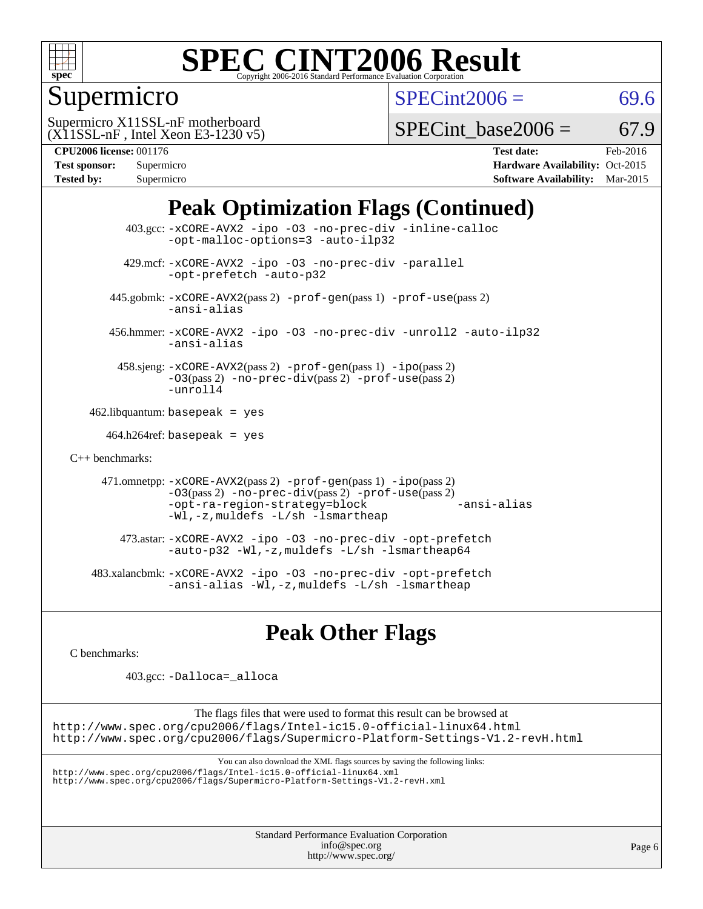

Supermicro

 $SPECint2006 = 69.6$  $SPECint2006 = 69.6$ 

(X11SSL-nF , Intel Xeon E3-1230 v5) Supermicro X11SSL-nF motherboard

SPECint base2006 =  $67.9$ 

| <b>Test sponsor:</b> | Supermicro |
|----------------------|------------|
| <b>Tested by:</b>    | Supermicro |

**[CPU2006 license:](http://www.spec.org/auto/cpu2006/Docs/result-fields.html#CPU2006license)** 001176 **[Test date:](http://www.spec.org/auto/cpu2006/Docs/result-fields.html#Testdate)** Feb-2016 **[Hardware Availability:](http://www.spec.org/auto/cpu2006/Docs/result-fields.html#HardwareAvailability)** Oct-2015 **[Software Availability:](http://www.spec.org/auto/cpu2006/Docs/result-fields.html#SoftwareAvailability)** Mar-2015

## **[Peak Optimization Flags \(Continued\)](http://www.spec.org/auto/cpu2006/Docs/result-fields.html#PeakOptimizationFlags)**

 403.gcc: [-xCORE-AVX2](http://www.spec.org/cpu2006/results/res2016q1/cpu2006-20160222-39043.flags.html#user_peakCOPTIMIZE403_gcc_f-xAVX2_5f5fc0cbe2c9f62c816d3e45806c70d7) [-ipo](http://www.spec.org/cpu2006/results/res2016q1/cpu2006-20160222-39043.flags.html#user_peakCOPTIMIZE403_gcc_f-ipo) [-O3](http://www.spec.org/cpu2006/results/res2016q1/cpu2006-20160222-39043.flags.html#user_peakCOPTIMIZE403_gcc_f-O3) [-no-prec-div](http://www.spec.org/cpu2006/results/res2016q1/cpu2006-20160222-39043.flags.html#user_peakCOPTIMIZE403_gcc_f-no-prec-div) [-inline-calloc](http://www.spec.org/cpu2006/results/res2016q1/cpu2006-20160222-39043.flags.html#user_peakCOPTIMIZE403_gcc_f-inline-calloc) [-opt-malloc-options=3](http://www.spec.org/cpu2006/results/res2016q1/cpu2006-20160222-39043.flags.html#user_peakCOPTIMIZE403_gcc_f-opt-malloc-options_13ab9b803cf986b4ee62f0a5998c2238) [-auto-ilp32](http://www.spec.org/cpu2006/results/res2016q1/cpu2006-20160222-39043.flags.html#user_peakCOPTIMIZE403_gcc_f-auto-ilp32) 429.mcf: [-xCORE-AVX2](http://www.spec.org/cpu2006/results/res2016q1/cpu2006-20160222-39043.flags.html#user_peakCOPTIMIZE429_mcf_f-xAVX2_5f5fc0cbe2c9f62c816d3e45806c70d7) [-ipo](http://www.spec.org/cpu2006/results/res2016q1/cpu2006-20160222-39043.flags.html#user_peakCOPTIMIZE429_mcf_f-ipo) [-O3](http://www.spec.org/cpu2006/results/res2016q1/cpu2006-20160222-39043.flags.html#user_peakCOPTIMIZE429_mcf_f-O3) [-no-prec-div](http://www.spec.org/cpu2006/results/res2016q1/cpu2006-20160222-39043.flags.html#user_peakCOPTIMIZE429_mcf_f-no-prec-div) [-parallel](http://www.spec.org/cpu2006/results/res2016q1/cpu2006-20160222-39043.flags.html#user_peakCOPTIMIZE429_mcf_f-parallel) [-opt-prefetch](http://www.spec.org/cpu2006/results/res2016q1/cpu2006-20160222-39043.flags.html#user_peakCOPTIMIZE429_mcf_f-opt-prefetch) [-auto-p32](http://www.spec.org/cpu2006/results/res2016q1/cpu2006-20160222-39043.flags.html#user_peakCOPTIMIZE429_mcf_f-auto-p32) 445.gobmk: [-xCORE-AVX2](http://www.spec.org/cpu2006/results/res2016q1/cpu2006-20160222-39043.flags.html#user_peakPASS2_CFLAGSPASS2_LDCFLAGS445_gobmk_f-xAVX2_5f5fc0cbe2c9f62c816d3e45806c70d7)(pass 2) [-prof-gen](http://www.spec.org/cpu2006/results/res2016q1/cpu2006-20160222-39043.flags.html#user_peakPASS1_CFLAGSPASS1_LDCFLAGS445_gobmk_prof_gen_e43856698f6ca7b7e442dfd80e94a8fc)(pass 1) [-prof-use](http://www.spec.org/cpu2006/results/res2016q1/cpu2006-20160222-39043.flags.html#user_peakPASS2_CFLAGSPASS2_LDCFLAGS445_gobmk_prof_use_bccf7792157ff70d64e32fe3e1250b55)(pass 2) [-ansi-alias](http://www.spec.org/cpu2006/results/res2016q1/cpu2006-20160222-39043.flags.html#user_peakCOPTIMIZE445_gobmk_f-ansi-alias) 456.hmmer: [-xCORE-AVX2](http://www.spec.org/cpu2006/results/res2016q1/cpu2006-20160222-39043.flags.html#user_peakCOPTIMIZE456_hmmer_f-xAVX2_5f5fc0cbe2c9f62c816d3e45806c70d7) [-ipo](http://www.spec.org/cpu2006/results/res2016q1/cpu2006-20160222-39043.flags.html#user_peakCOPTIMIZE456_hmmer_f-ipo) [-O3](http://www.spec.org/cpu2006/results/res2016q1/cpu2006-20160222-39043.flags.html#user_peakCOPTIMIZE456_hmmer_f-O3) [-no-prec-div](http://www.spec.org/cpu2006/results/res2016q1/cpu2006-20160222-39043.flags.html#user_peakCOPTIMIZE456_hmmer_f-no-prec-div) [-unroll2](http://www.spec.org/cpu2006/results/res2016q1/cpu2006-20160222-39043.flags.html#user_peakCOPTIMIZE456_hmmer_f-unroll_784dae83bebfb236979b41d2422d7ec2) [-auto-ilp32](http://www.spec.org/cpu2006/results/res2016q1/cpu2006-20160222-39043.flags.html#user_peakCOPTIMIZE456_hmmer_f-auto-ilp32) [-ansi-alias](http://www.spec.org/cpu2006/results/res2016q1/cpu2006-20160222-39043.flags.html#user_peakCOPTIMIZE456_hmmer_f-ansi-alias) 458.sjeng: [-xCORE-AVX2](http://www.spec.org/cpu2006/results/res2016q1/cpu2006-20160222-39043.flags.html#user_peakPASS2_CFLAGSPASS2_LDCFLAGS458_sjeng_f-xAVX2_5f5fc0cbe2c9f62c816d3e45806c70d7)(pass 2) [-prof-gen](http://www.spec.org/cpu2006/results/res2016q1/cpu2006-20160222-39043.flags.html#user_peakPASS1_CFLAGSPASS1_LDCFLAGS458_sjeng_prof_gen_e43856698f6ca7b7e442dfd80e94a8fc)(pass 1) [-ipo](http://www.spec.org/cpu2006/results/res2016q1/cpu2006-20160222-39043.flags.html#user_peakPASS2_CFLAGSPASS2_LDCFLAGS458_sjeng_f-ipo)(pass 2) [-O3](http://www.spec.org/cpu2006/results/res2016q1/cpu2006-20160222-39043.flags.html#user_peakPASS2_CFLAGSPASS2_LDCFLAGS458_sjeng_f-O3)(pass 2) [-no-prec-div](http://www.spec.org/cpu2006/results/res2016q1/cpu2006-20160222-39043.flags.html#user_peakPASS2_CFLAGSPASS2_LDCFLAGS458_sjeng_f-no-prec-div)(pass 2) [-prof-use](http://www.spec.org/cpu2006/results/res2016q1/cpu2006-20160222-39043.flags.html#user_peakPASS2_CFLAGSPASS2_LDCFLAGS458_sjeng_prof_use_bccf7792157ff70d64e32fe3e1250b55)(pass 2) [-unroll4](http://www.spec.org/cpu2006/results/res2016q1/cpu2006-20160222-39043.flags.html#user_peakCOPTIMIZE458_sjeng_f-unroll_4e5e4ed65b7fd20bdcd365bec371b81f)  $462$ .libquantum: basepeak = yes  $464.h264$ ref: basepeak = yes [C++ benchmarks:](http://www.spec.org/auto/cpu2006/Docs/result-fields.html#CXXbenchmarks) 471.omnetpp: [-xCORE-AVX2](http://www.spec.org/cpu2006/results/res2016q1/cpu2006-20160222-39043.flags.html#user_peakPASS2_CXXFLAGSPASS2_LDCXXFLAGS471_omnetpp_f-xAVX2_5f5fc0cbe2c9f62c816d3e45806c70d7)(pass 2) [-prof-gen](http://www.spec.org/cpu2006/results/res2016q1/cpu2006-20160222-39043.flags.html#user_peakPASS1_CXXFLAGSPASS1_LDCXXFLAGS471_omnetpp_prof_gen_e43856698f6ca7b7e442dfd80e94a8fc)(pass 1) [-ipo](http://www.spec.org/cpu2006/results/res2016q1/cpu2006-20160222-39043.flags.html#user_peakPASS2_CXXFLAGSPASS2_LDCXXFLAGS471_omnetpp_f-ipo)(pass 2) [-O3](http://www.spec.org/cpu2006/results/res2016q1/cpu2006-20160222-39043.flags.html#user_peakPASS2_CXXFLAGSPASS2_LDCXXFLAGS471_omnetpp_f-O3)(pass 2) [-no-prec-div](http://www.spec.org/cpu2006/results/res2016q1/cpu2006-20160222-39043.flags.html#user_peakPASS2_CXXFLAGSPASS2_LDCXXFLAGS471_omnetpp_f-no-prec-div)(pass 2) [-prof-use](http://www.spec.org/cpu2006/results/res2016q1/cpu2006-20160222-39043.flags.html#user_peakPASS2_CXXFLAGSPASS2_LDCXXFLAGS471_omnetpp_prof_use_bccf7792157ff70d64e32fe3e1250b55)(pass 2) [-opt-ra-region-strategy=block](http://www.spec.org/cpu2006/results/res2016q1/cpu2006-20160222-39043.flags.html#user_peakCXXOPTIMIZE471_omnetpp_f-opt-ra-region-strategy_5382940c29ea30302d682fc74bfe0147) [-ansi-alias](http://www.spec.org/cpu2006/results/res2016q1/cpu2006-20160222-39043.flags.html#user_peakCXXOPTIMIZE471_omnetpp_f-ansi-alias) [-Wl,-z,muldefs](http://www.spec.org/cpu2006/results/res2016q1/cpu2006-20160222-39043.flags.html#user_peakEXTRA_LDFLAGS471_omnetpp_link_force_multiple1_74079c344b956b9658436fd1b6dd3a8a) [-L/sh -lsmartheap](http://www.spec.org/cpu2006/results/res2016q1/cpu2006-20160222-39043.flags.html#user_peakEXTRA_LIBS471_omnetpp_SmartHeap_32f6c82aa1ed9c52345d30cf6e4a0499) 473.astar: [-xCORE-AVX2](http://www.spec.org/cpu2006/results/res2016q1/cpu2006-20160222-39043.flags.html#user_peakCXXOPTIMIZE473_astar_f-xAVX2_5f5fc0cbe2c9f62c816d3e45806c70d7) [-ipo](http://www.spec.org/cpu2006/results/res2016q1/cpu2006-20160222-39043.flags.html#user_peakCXXOPTIMIZE473_astar_f-ipo) [-O3](http://www.spec.org/cpu2006/results/res2016q1/cpu2006-20160222-39043.flags.html#user_peakCXXOPTIMIZE473_astar_f-O3) [-no-prec-div](http://www.spec.org/cpu2006/results/res2016q1/cpu2006-20160222-39043.flags.html#user_peakCXXOPTIMIZE473_astar_f-no-prec-div) [-opt-prefetch](http://www.spec.org/cpu2006/results/res2016q1/cpu2006-20160222-39043.flags.html#user_peakCXXOPTIMIZE473_astar_f-opt-prefetch) [-auto-p32](http://www.spec.org/cpu2006/results/res2016q1/cpu2006-20160222-39043.flags.html#user_peakCXXOPTIMIZE473_astar_f-auto-p32) [-Wl,-z,muldefs](http://www.spec.org/cpu2006/results/res2016q1/cpu2006-20160222-39043.flags.html#user_peakEXTRA_LDFLAGS473_astar_link_force_multiple1_74079c344b956b9658436fd1b6dd3a8a) [-L/sh -lsmartheap64](http://www.spec.org/cpu2006/results/res2016q1/cpu2006-20160222-39043.flags.html#user_peakEXTRA_LIBS473_astar_SmartHeap64_ed4ef857ce90951921efb0d91eb88472) 483.xalancbmk: [-xCORE-AVX2](http://www.spec.org/cpu2006/results/res2016q1/cpu2006-20160222-39043.flags.html#user_peakCXXOPTIMIZE483_xalancbmk_f-xAVX2_5f5fc0cbe2c9f62c816d3e45806c70d7) [-ipo](http://www.spec.org/cpu2006/results/res2016q1/cpu2006-20160222-39043.flags.html#user_peakCXXOPTIMIZE483_xalancbmk_f-ipo) [-O3](http://www.spec.org/cpu2006/results/res2016q1/cpu2006-20160222-39043.flags.html#user_peakCXXOPTIMIZE483_xalancbmk_f-O3) [-no-prec-div](http://www.spec.org/cpu2006/results/res2016q1/cpu2006-20160222-39043.flags.html#user_peakCXXOPTIMIZE483_xalancbmk_f-no-prec-div) [-opt-prefetch](http://www.spec.org/cpu2006/results/res2016q1/cpu2006-20160222-39043.flags.html#user_peakCXXOPTIMIZE483_xalancbmk_f-opt-prefetch) [-ansi-alias](http://www.spec.org/cpu2006/results/res2016q1/cpu2006-20160222-39043.flags.html#user_peakCXXOPTIMIZE483_xalancbmk_f-ansi-alias) [-Wl,-z,muldefs](http://www.spec.org/cpu2006/results/res2016q1/cpu2006-20160222-39043.flags.html#user_peakEXTRA_LDFLAGS483_xalancbmk_link_force_multiple1_74079c344b956b9658436fd1b6dd3a8a) [-L/sh -lsmartheap](http://www.spec.org/cpu2006/results/res2016q1/cpu2006-20160222-39043.flags.html#user_peakEXTRA_LIBS483_xalancbmk_SmartHeap_32f6c82aa1ed9c52345d30cf6e4a0499)

### **[Peak Other Flags](http://www.spec.org/auto/cpu2006/Docs/result-fields.html#PeakOtherFlags)**

[C benchmarks](http://www.spec.org/auto/cpu2006/Docs/result-fields.html#Cbenchmarks):

403.gcc: [-Dalloca=\\_alloca](http://www.spec.org/cpu2006/results/res2016q1/cpu2006-20160222-39043.flags.html#b403.gcc_peakEXTRA_CFLAGS_Dalloca_be3056838c12de2578596ca5467af7f3)

The flags files that were used to format this result can be browsed at <http://www.spec.org/cpu2006/flags/Intel-ic15.0-official-linux64.html> <http://www.spec.org/cpu2006/flags/Supermicro-Platform-Settings-V1.2-revH.html>

You can also download the XML flags sources by saving the following links:

<http://www.spec.org/cpu2006/flags/Intel-ic15.0-official-linux64.xml> <http://www.spec.org/cpu2006/flags/Supermicro-Platform-Settings-V1.2-revH.xml>